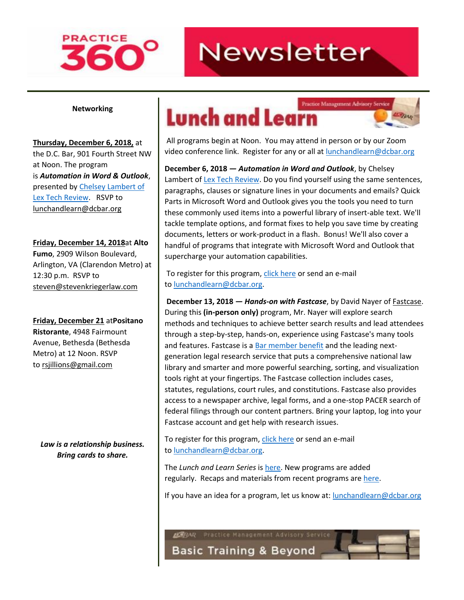# **PRACTICE**

## **Newsletter**

#### **Networking**

**Thursday, December 6, 2018,** at the D.C. Bar, 901 Fourth Street NW at Noon. The program is *Automation in Word & Outlook*, presented by [Chelsey Lambert of](https://lextechreview.com/story/)  [Lex Tech Review.](https://lextechreview.com/story/) RSVP to lunchandlearn@dcbar.org

**Friday, December 14, 2018**at **Alto Fumo**, 2909 Wilson Boulevard, Arlington, VA (Clarendon Metro) at 12:30 p.m. RSVP to steven@stevenkriegerlaw.com

**Friday, December 21** at**Positano Ristorante**, 4948 Fairmount Avenue, Bethesda (Bethesda Metro) at 12 Noon. RSVP to rsjillions@gmail.com

*Law is a relationship business. Bring cards to share.*

### Practice Management Advisory Service **Lunch and Learn**

All programs begin at Noon. You may attend in person or by our Zoom video conference link. Register for any or all at [lunchandlearn@dcbar.org](mailto:lunchandlearn@dcbar.org)

**LEBAR** 

**December 6, 2018** *— Automation in Word and Outlook*, by Chelsey Lambert of [Lex Tech Review.](https://lextechreview.com/) Do you find yourself using the same sentences, paragraphs, clauses or signature lines in your documents and emails? Quick Parts in Microsoft Word and Outlook gives you the tools you need to turn these commonly used items into a powerful library of insert-able text. We'll tackle template options, and format fixes to help you save time by creating documents, letters or work-product in a flash. Bonus! We'll also cover a handful of programs that integrate with Microsoft Word and Outlook that supercharge your automation capabilities.

To register for this program, [click here](https://join.dcbar.org/eWeb/DynamicPage.aspx?site=dcbar&webcode=EventInfo&Reg_evt_key=e05ae5ff-d990-4c72-8954-13cf4fdc62cc&RegPath=EventRegFees&FreeEvent=&Event=Lunch%20and%20Learn:%20Automation%20in%20Word%20and%20Outlook&FundraisingEvent=&evt_guest_limit=9999) or send an e-mail to [lunchandlearn@dcbar.org.](mailto:lunchandlearn@dcbar.org)

**December 13, 2018** *— Hands-on with Fastcase*, by David Nayer of Fastcase. During this **(in-person only)** program, Mr. Nayer will explore search methods and techniques to achieve better search results and lead attendees through a step-by-step, hands-on, experience using Fastcase's many tools and features. Fastcase is a [Bar member benefit](https://www.dcbar.org/membership/member-benefits.cfm#Fastcase) and the leading nextgeneration legal research service that puts a comprehensive national law library and smarter and more powerful searching, sorting, and visualization tools right at your fingertips. The Fastcase collection includes cases, statutes, regulations, court rules, and constitutions. Fastcase also provides access to a newspaper archive, legal forms, and a one-stop PACER search of federal filings through our content partners. Bring your laptop, log into your Fastcase account and get help with research issues.

To register for this program, [click here](https://join.dcbar.org/eWeb/DynamicPage.aspx?site=dcbar&webcode=EventInfo&Reg_evt_key=488f4ac4-3221-4436-a7a6-39233518b388&RegPath=EventRegFees&FreeEvent=&Event=Lunch%20and%20Learn:%20Hands-on%20with%20Fastcase&FundraisingEvent=&evt_guest_limit=9999) or send an e-mail to [lunchandlearn@dcbar.org.](mailto:lunchandlearn@dcbar.org)

The *Lunch and Learn Series* is [here.](http://www.dcbar.org/bar-resources/practice-management-advisory-service/Lunch-Series.cfm) New programs are added regularly. Recaps and materials from recent programs are [here.](http://www.dcbar.org/bar-resources/practice-management-advisory-service/Lunch-Series-Past.cfm)

If you have an idea for a program, let us know at: **[lunchandlearn@dcbar.org](mailto:lunchandlearn@dcbar.org)** 

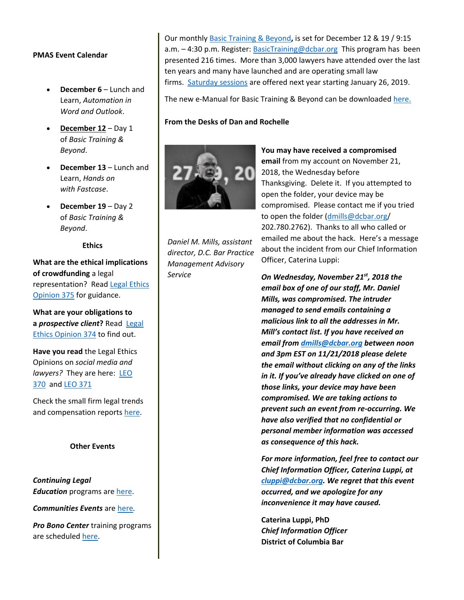#### **PMAS Event Calendar**

- **December 6** Lunch and Learn, *Automation in Word and Outlook*.
- **December 12** Day 1 of *Basic Training & Beyond*.
- **December 13** Lunch and Learn, *Hands on with Fastcase*.
- **December 19** Day 2 of *Basic Training & Beyond*.

**Ethics**

**What are the ethical implications of crowdfunding** a legal representation? Read [Legal Ethics](http://www.dcbar.org/bar-resources/legal-ethics/opinions/Ethics-Opinion-375.cfm)  [Opinion 375](http://www.dcbar.org/bar-resources/legal-ethics/opinions/Ethics-Opinion-375.cfm) for guidance.

**What are your obligations to a** *prospective client***?** Read [Legal](http://www.dcbar.org/bar-resources/legal-ethics/opinions/Ethics-Opinion-374.cfm)  [Ethics Opinion 374](http://www.dcbar.org/bar-resources/legal-ethics/opinions/Ethics-Opinion-374.cfm) to find out.

**Have you read** the Legal Ethics Opinions on *social media and lawyers?* They are here: [LEO](http://www.dcbar.org/bar-resources/legal-ethics/opinions/Ethics-Opinion-370.cfm)  [370](http://www.dcbar.org/bar-resources/legal-ethics/opinions/Ethics-Opinion-370.cfm) and [LEO 371](http://www.dcbar.org/bar-resources/legal-ethics/opinions/Ethics-Opinion-371.cfm)

Check the small firm legal trends and compensation reports [here.](http://www.dcbar.org/bar-resources/practice-management-advisory-service/basic-training-supplement.cfm)

#### **Other Events**

*Continuing Legal Education* programs are [here.](http://www.dcbar.org/marketplace/index.cfm?cat=cle_inperson)

*Communities Events* are [here](http://www.dcbar.org/events.cfm?filter_events=SECTION)*.*

*Pro Bono Center* training programs are scheduled [here.](http://www.dcbar.org/pro-bono/resources-and-training/pro-bono-training.cfm)

Our monthly [Basic Training & Beyond](http://www.dcbar.org/bar-resources/practice-management-advisory-service/basic-training.cfm)**,** is set for December 12 & 19 / 9:15 a.m. – 4:30 p.m. Register: [BasicTraining@dcbar.org](mailto:BasicTraining@dcbar.org) This program has been presented 216 times. More than 3,000 lawyers have attended over the last ten years and many have launched and are operating small law firms. [Saturday sessions](http://www.dcbar.org/bar-resources/practice-management-advisory-service/basic-training.cfm) are offered next year starting January 26, 2019.

The new e-Manual for Basic Training & Beyond can be downloaded [here.](http://www.dcbar.org/bar-resources/practice-management-advisory-service/upload/eManual-050316.pdf)

#### **From the Desks of Dan and Rochelle**



*Daniel M. Mills, assistant director, D.C. Bar Practice Management Advisory Service*

**You may have received a compromised email** from my account on November 21, 2018, the Wednesday before Thanksgiving. Delete it. If you attempted to open the folder, your device may be compromised. Please contact me if you tried to open the folder [\(dmills@dcbar.org/](mailto:dmills@dcbar.org) 202.780.2762). Thanks to all who called or emailed me about the hack. Here's a message about the incident from our Chief Information Officer, Caterina Luppi:

*On Wednesday, November 21st, 2018 the email box of one of our staff, Mr. Daniel Mills, was compromised. The intruder managed to send emails containing a malicious link to all the addresses in Mr. Mill's contact list. If you have received an email from [dmills@dcbar.org](mailto:dmills@dcbar.org) between noon and 3pm EST on 11/21/2018 please delete the email without clicking on any of the links in it. If you've already have clicked on one of those links, your device may have been compromised. We are taking actions to prevent such an event from re-occurring. We have also verified that no confidential or personal member information was accessed as consequence of this hack.*

*For more information, feel free to contact our Chief Information Officer, Caterina Luppi, at [cluppi@dcbar.org.](mailto:cluppi@dcbar.org) We regret that this event occurred, and we apologize for any inconvenience it may have caused.*

**Caterina Luppi, PhD** *Chief Information Officer* **District of Columbia Bar**